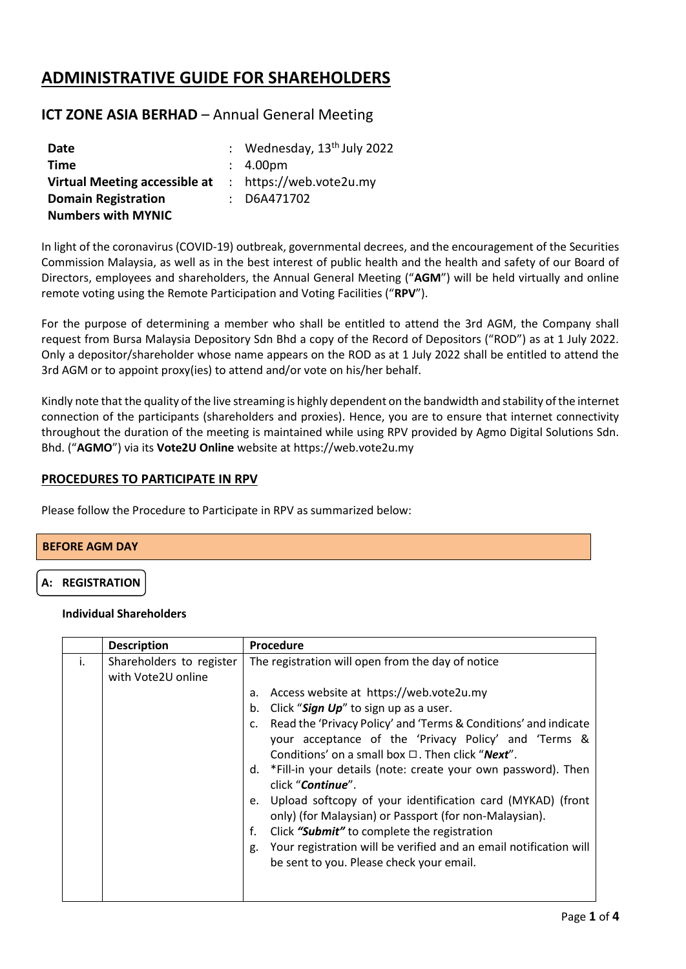# **ADMINISTRATIVE GUIDE FOR SHAREHOLDERS**

# **ICT ZONE ASIA BERHAD** – Annual General Meeting

| Date                          | : Wednesday, $13th$ July 2022 |
|-------------------------------|-------------------------------|
| Time                          | : 4.00 <sub>pm</sub>          |
| Virtual Meeting accessible at | : https://web.vote2u.my       |
| <b>Domain Registration</b>    | $:$ D6A471702                 |
| <b>Numbers with MYNIC</b>     |                               |

In light of the coronavirus (COVID-19) outbreak, governmental decrees, and the encouragement of the Securities Commission Malaysia, as well as in the best interest of public health and the health and safety of our Board of Directors, employees and shareholders, the Annual General Meeting ("**AGM**") will be held virtually and online remote voting using the Remote Participation and Voting Facilities ("**RPV**").

For the purpose of determining a member who shall be entitled to attend the 3rd AGM, the Company shall request from Bursa Malaysia Depository Sdn Bhd a copy of the Record of Depositors ("ROD") as at 1 July 2022. Only a depositor/shareholder whose name appears on the ROD as at 1 July 2022 shall be entitled to attend the 3rd AGM or to appoint proxy(ies) to attend and/or vote on his/her behalf.

Kindly note that the quality of the live streaming is highly dependent on the bandwidth and stability of the internet connection of the participants (shareholders and proxies). Hence, you are to ensure that internet connectivity throughout the duration of the meeting is maintained while using RPV provided by Agmo Digital Solutions Sdn. Bhd. ("**AGMO**") via its **Vote2U Online** website at https://web.vote2u.my

### **PROCEDURES TO PARTICIPATE IN RPV**

Please follow the Procedure to Participate in RPV as summarized below:

#### **BEFORE AGM DAY**

#### **A: REGISTRATION**

#### **Individual Shareholders**

|    | <b>Description</b>                             | Procedure                                                                                                                                                                                                                                                                                                                                                                                                                                              |
|----|------------------------------------------------|--------------------------------------------------------------------------------------------------------------------------------------------------------------------------------------------------------------------------------------------------------------------------------------------------------------------------------------------------------------------------------------------------------------------------------------------------------|
| i. | Shareholders to register<br>with Vote2U online | The registration will open from the day of notice<br>Access website at https://web.vote2u.my<br>a.<br>Click "Sign Up" to sign up as a user.<br>b.<br>Read the 'Privacy Policy' and 'Terms & Conditions' and indicate<br>c.<br>your acceptance of the 'Privacy Policy' and 'Terms &<br>Conditions' on a small box $\Box$ . Then click " <b>Next</b> ".<br>d. *Fill-in your details (note: create your own password). Then<br>click " <b>Continue</b> ". |
|    |                                                | Upload softcopy of your identification card (MYKAD) (front<br>e.<br>only) (for Malaysian) or Passport (for non-Malaysian).                                                                                                                                                                                                                                                                                                                             |
|    |                                                | f.<br>Click "Submit" to complete the registration                                                                                                                                                                                                                                                                                                                                                                                                      |
|    |                                                | Your registration will be verified and an email notification will<br>g.<br>be sent to you. Please check your email.                                                                                                                                                                                                                                                                                                                                    |
|    |                                                |                                                                                                                                                                                                                                                                                                                                                                                                                                                        |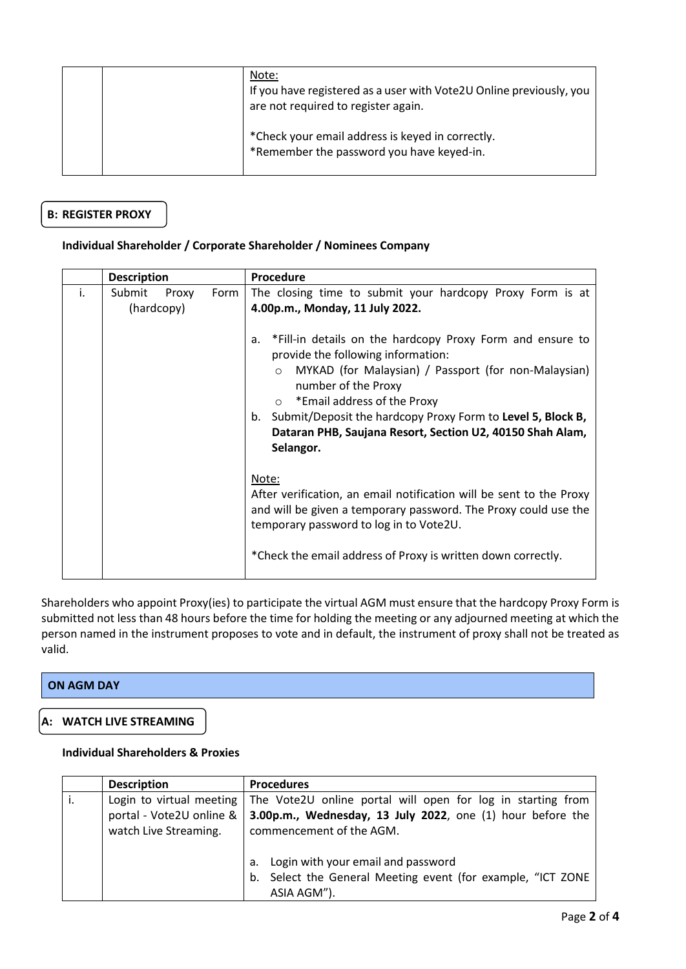| Note:<br>If you have registered as a user with Vote2U Online previously, you<br>are not required to register again. |
|---------------------------------------------------------------------------------------------------------------------|
| *Check your email address is keyed in correctly.<br>*Remember the password you have keyed-in.                       |

# **B: REGISTER PROXY**

### **Individual Shareholder / Corporate Shareholder / Nominees Company**

|    | <b>Description</b>            |      | Procedure                                                                                                                                                                                                                                                                                                                                                                                |
|----|-------------------------------|------|------------------------------------------------------------------------------------------------------------------------------------------------------------------------------------------------------------------------------------------------------------------------------------------------------------------------------------------------------------------------------------------|
| i. | Submit<br>Proxy<br>(hardcopy) | Form | The closing time to submit your hardcopy Proxy Form is at<br>4.00p.m., Monday, 11 July 2022.                                                                                                                                                                                                                                                                                             |
|    |                               |      | *Fill-in details on the hardcopy Proxy Form and ensure to<br>а.<br>provide the following information:<br>MYKAD (for Malaysian) / Passport (for non-Malaysian)<br>$\bigcirc$<br>number of the Proxy<br>*Email address of the Proxy<br>$\circ$<br>b. Submit/Deposit the hardcopy Proxy Form to Level 5, Block B,<br>Dataran PHB, Saujana Resort, Section U2, 40150 Shah Alam,<br>Selangor. |
|    |                               |      | Note:<br>After verification, an email notification will be sent to the Proxy<br>and will be given a temporary password. The Proxy could use the<br>temporary password to log in to Vote2U.<br>*Check the email address of Proxy is written down correctly.                                                                                                                               |

Shareholders who appoint Proxy(ies) to participate the virtual AGM must ensure that the hardcopy Proxy Form is submitted not less than 48 hours before the time for holding the meeting or any adjourned meeting at which the person named in the instrument proposes to vote and in default, the instrument of proxy shall not be treated as valid.

# **ON AGM DAY**

# **A: WATCH LIVE STREAMING**

#### **Individual Shareholders & Proxies**

| <b>Description</b>                                                            | <b>Procedures</b>                                                                                                                                     |
|-------------------------------------------------------------------------------|-------------------------------------------------------------------------------------------------------------------------------------------------------|
| Login to virtual meeting<br>portal - Vote2U online &<br>watch Live Streaming. | The Vote2U online portal will open for log in starting from<br>3.00p.m., Wednesday, 13 July 2022, one (1) hour before the<br>commencement of the AGM. |
|                                                                               | Login with your email and password<br>a.<br>Select the General Meeting event (for example, "ICT ZONE<br>b.<br>ASIA AGM").                             |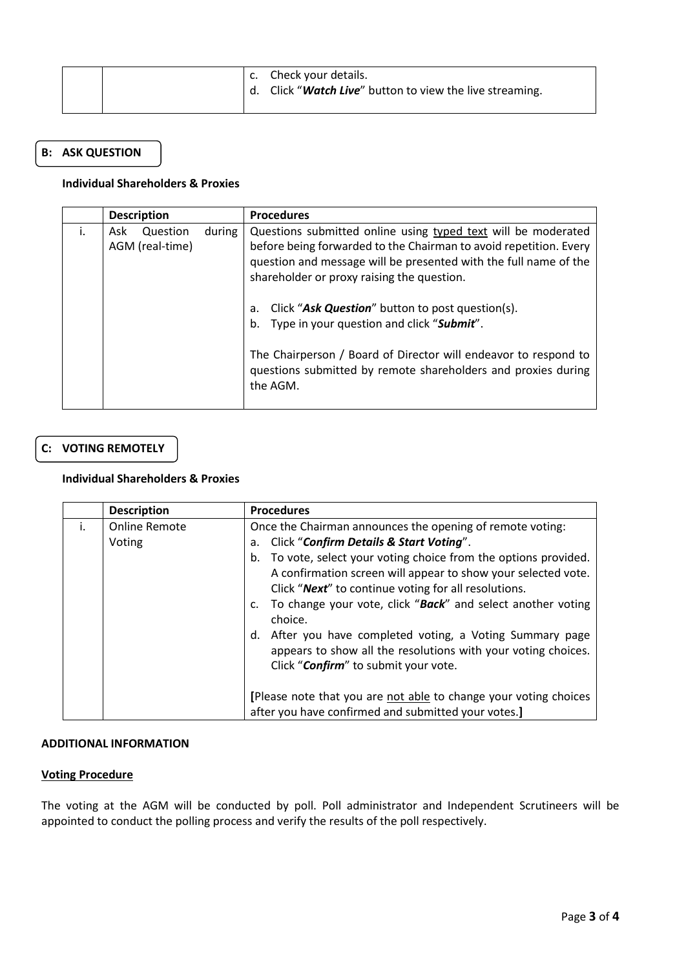| c. Check your details.<br>Click "Watch Live" button to view the live streaming. |  |
|---------------------------------------------------------------------------------|--|
|---------------------------------------------------------------------------------|--|

# **B: ASK QUESTION**

#### **Individual Shareholders & Proxies**

| <b>Description</b>                 |        | <b>Procedures</b>                                                                                                                                                                                                                                                                                                                                                                                                                                                                                     |
|------------------------------------|--------|-------------------------------------------------------------------------------------------------------------------------------------------------------------------------------------------------------------------------------------------------------------------------------------------------------------------------------------------------------------------------------------------------------------------------------------------------------------------------------------------------------|
| Question<br>Ask<br>AGM (real-time) | during | Questions submitted online using typed text will be moderated<br>before being forwarded to the Chairman to avoid repetition. Every<br>question and message will be presented with the full name of the<br>shareholder or proxy raising the question.<br>Click "Ask Question" button to post question(s).<br>а.<br>Type in your question and click "Submit".<br>b.<br>The Chairperson / Board of Director will endeavor to respond to<br>questions submitted by remote shareholders and proxies during |
|                                    |        | the AGM.                                                                                                                                                                                                                                                                                                                                                                                                                                                                                              |
|                                    |        |                                                                                                                                                                                                                                                                                                                                                                                                                                                                                                       |

# **C: VOTING REMOTELY**

#### **Individual Shareholders & Proxies**

|    | <b>Description</b>             | <b>Procedures</b>                                                                                                                                                                                                                                                                                                                                                                                                                                                                                                                                                        |
|----|--------------------------------|--------------------------------------------------------------------------------------------------------------------------------------------------------------------------------------------------------------------------------------------------------------------------------------------------------------------------------------------------------------------------------------------------------------------------------------------------------------------------------------------------------------------------------------------------------------------------|
| i. | <b>Online Remote</b><br>Voting | Once the Chairman announces the opening of remote voting:<br><b>Click "Confirm Details &amp; Start Voting".</b><br>a.<br>b. To vote, select your voting choice from the options provided.<br>A confirmation screen will appear to show your selected vote.<br>Click "Next" to continue voting for all resolutions.<br>c. To change your vote, click "Back" and select another voting<br>choice.<br>After you have completed voting, a Voting Summary page<br>d.<br>appears to show all the resolutions with your voting choices.<br>Click "Confirm" to submit your vote. |
|    |                                | [Please note that you are not able to change your voting choices<br>after you have confirmed and submitted your votes.]                                                                                                                                                                                                                                                                                                                                                                                                                                                  |

#### **ADDITIONAL INFORMATION**

#### **Voting Procedure**

The voting at the AGM will be conducted by poll. Poll administrator and Independent Scrutineers will be appointed to conduct the polling process and verify the results of the poll respectively.